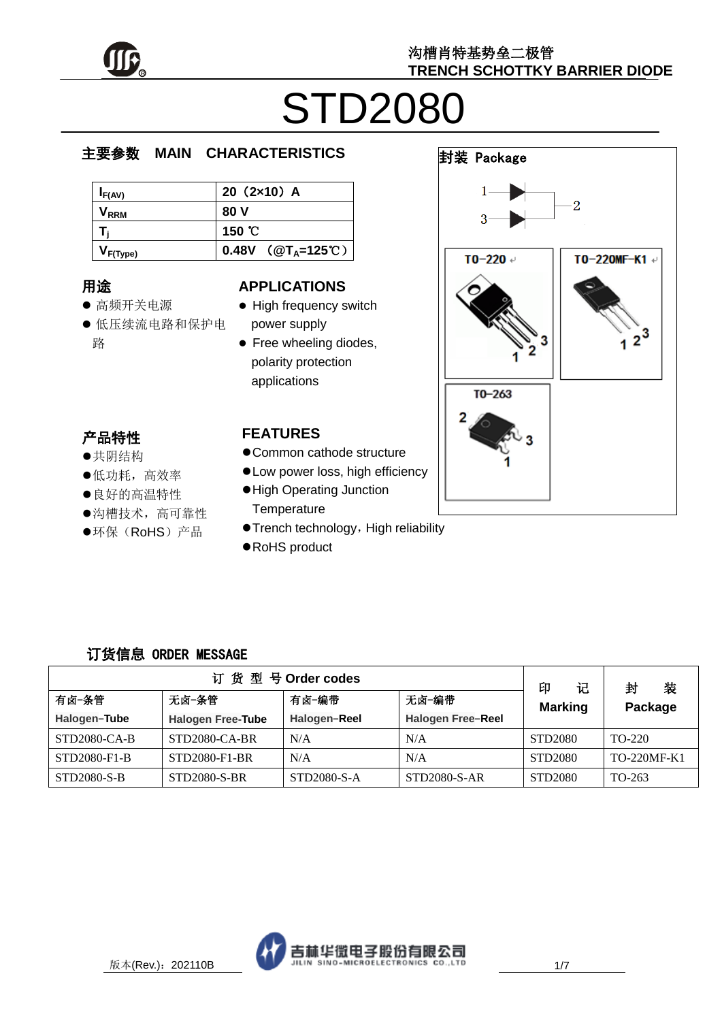

封装 Package

# STD2080

#### e  $\overline{\phantom{a}}$ 主要参数 **MAIN CHARACTERISTICS**

| $I_{F(AV)}$      | $20(2x10)$ A                  |
|------------------|-------------------------------|
| V <sub>rrm</sub> | 80 V                          |
|                  | 150 $^{\circ}$ C              |
| $I_{F(Type)}$    | 0.48V ( $@T_A=125^{\circ}$ C) |

## 用途

- ……<br>● 高频开关电源
- יי<br>ל 低压续流电路和保护电 r. 路

#### **APPLICATIONS**

- High frequency switch power supply
- Free wheeling diodes, polarity protection applications

## 产品特性

- , H-IVI工<br>●共阴结构
- 大切地市<br>●低功耗,高效率
- ●良好的高温特性
- 这为高高温的是<br>●沟槽技术, 高可靠性  $\frac{1}{1}$
- $\overline{a}$ ●环保(RoHS)产品

#### **FEATURES**

- Common cathode structure
- Low power loss, high efficiency
- High Operating Junction **Temperature**
- **Trench technology, High reliability**
- RoHS product

### 订货信息 ORDER MESSAGE

| 订货型号Order codes |                          |              |                          |                          | 装<br>封      |
|-----------------|--------------------------|--------------|--------------------------|--------------------------|-------------|
| 有卤-条管           | 无卤-编带<br>无卤-条管<br>有卤−编带  |              |                          | 印<br>记<br><b>Marking</b> | Package     |
| Halogen-Tube    | <b>Halogen Free-Tube</b> | Halogen-Reel | <b>Halogen Free-Reel</b> |                          |             |
| STD2080-CA-B    | STD2080-CA-BR            | N/A          | N/A                      | STD2080                  | TO-220      |
| STD2080-F1-B    | STD2080-F1-BR            | N/A          | N/A                      | STD2080                  | TO-220MF-K1 |
| STD2080-S-B     | STD2080-S-BR             | STD2080-S-A  | STD2080-S-AR             | STD2080                  | TO-263      |



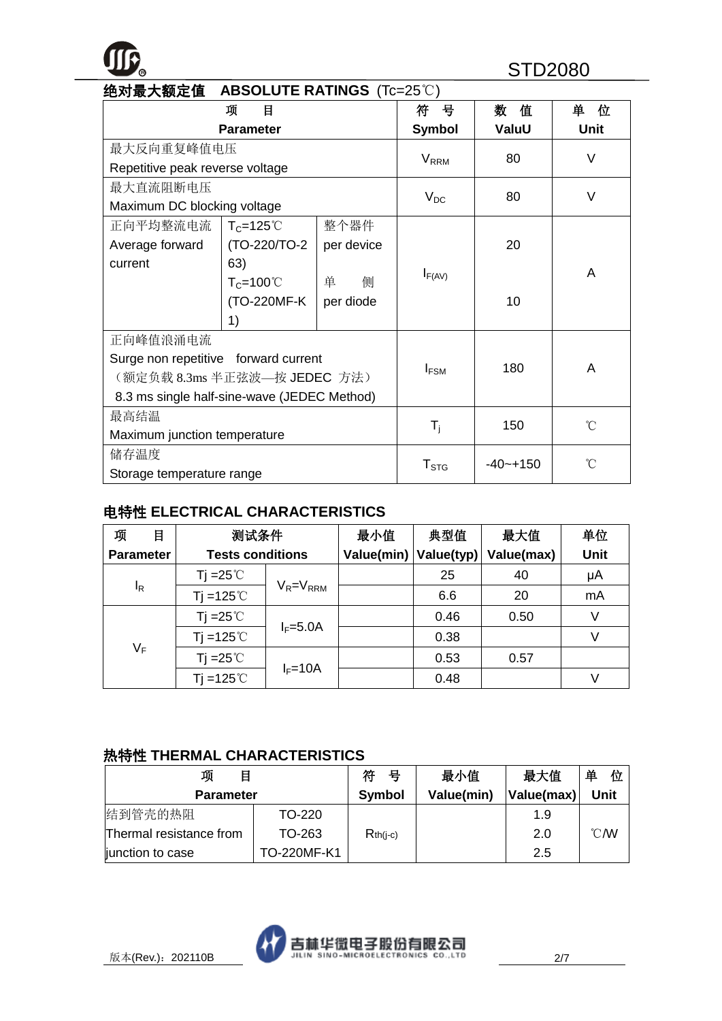## **R** STD2080

| 绝对最大额定值<br><b>ABSOLUTE RATINGS (Tc=25°C)</b> |                              |            |                         |              |                 |
|----------------------------------------------|------------------------------|------------|-------------------------|--------------|-----------------|
|                                              | 项<br>目                       |            | 뮹<br>符                  | 值<br>数       | 单<br>位          |
|                                              | <b>Parameter</b>             |            | <b>Symbol</b>           | ValuU        | <b>Unit</b>     |
| 最大反向重复峰值电压                                   |                              |            | <b>V</b> <sub>RRM</sub> | 80           | $\vee$          |
| Repetitive peak reverse voltage              |                              |            |                         |              |                 |
| 最大直流阻断电压                                     |                              |            |                         | 80           | V               |
| Maximum DC blocking voltage                  |                              |            | $V_{DC}$                |              |                 |
| 正向平均整流电流                                     | $T_c = 125^{\circ}$          | 整个器件       |                         |              |                 |
| Average forward                              | (TO-220/TO-2                 | per device |                         | 20           |                 |
| current                                      | 63)                          |            |                         |              | A               |
|                                              | $T_c = 100^{\circ}$          | 侧<br>单     | $I_{F(AV)}$             |              |                 |
| (TO-220MF-K<br>per diode                     |                              |            |                         | 10           |                 |
| 1)                                           |                              |            |                         |              |                 |
| 正向峰值浪涌电流                                     |                              |            |                         |              |                 |
| Surge non repetitive forward current         |                              |            | $I_{FSM}$               | 180          | A               |
|                                              | (额定负载 8.3ms 半正弦波—按 JEDEC 方法) |            |                         |              |                 |
| 8.3 ms single half-sine-wave (JEDEC Method)  |                              |            |                         |              |                 |
| 最高结温                                         |                              |            |                         | 150          | $\rm ^{\circ}C$ |
| Maximum junction temperature                 |                              |            | $T_i$                   |              |                 |
| 储存温度                                         |                              |            |                         | $-40 - +150$ | °C              |
| Storage temperature range                    |                              |            | ${\sf T}_{\text{STG}}$  |              |                 |

#### 电特性 **ELECTRICAL CHARACTERISTICS**

| 项<br>目           | 测试条件                    |                 | 最小值        | 典型值        | 最大值        | 单位   |
|------------------|-------------------------|-----------------|------------|------------|------------|------|
| <b>Parameter</b> | <b>Tests conditions</b> |                 | Value(min) | Value(typ) | Value(max) | Unit |
|                  | Tj =25 $^{\circ}$ C     |                 |            | 25         | 40         | μA   |
| $I_R$            | $Ti = 125^{\circ}$      | $V_R = V_{RRM}$ |            | 6.6        | 20         | mA   |
|                  | Tj =25 $\degree$ C      |                 |            | 0.46       | 0.50       |      |
|                  | $Ti = 125^{\circ}$      | $I_F=5.0A$      |            | 0.38       |            | V    |
| $V_F$            | Tj = $25^{\circ}$ C     |                 |            | 0.53       | 0.57       |      |
|                  | $Ti = 125^{\circ}$      | $I_F = 10A$     |            | 0.48       |            | V    |

#### 热特性 **THERMAL CHARACTERISTICS**

| 项<br>目                  |             | 符<br>- 묵      | 最小值        | 最大值        | 单<br>位           |
|-------------------------|-------------|---------------|------------|------------|------------------|
| <b>Parameter</b>        |             | <b>Symbol</b> | Value(min) | Value(max) | Unit             |
| 结到管壳的热阻                 | TO-220      |               |            | 1.9        |                  |
| Thermal resistance from | TO-263      | $Rth(i-c)$    |            | 2.0        | $\mathcal{C}$ MV |
| junction to case        | TO-220MF-K1 |               |            | 2.5        |                  |

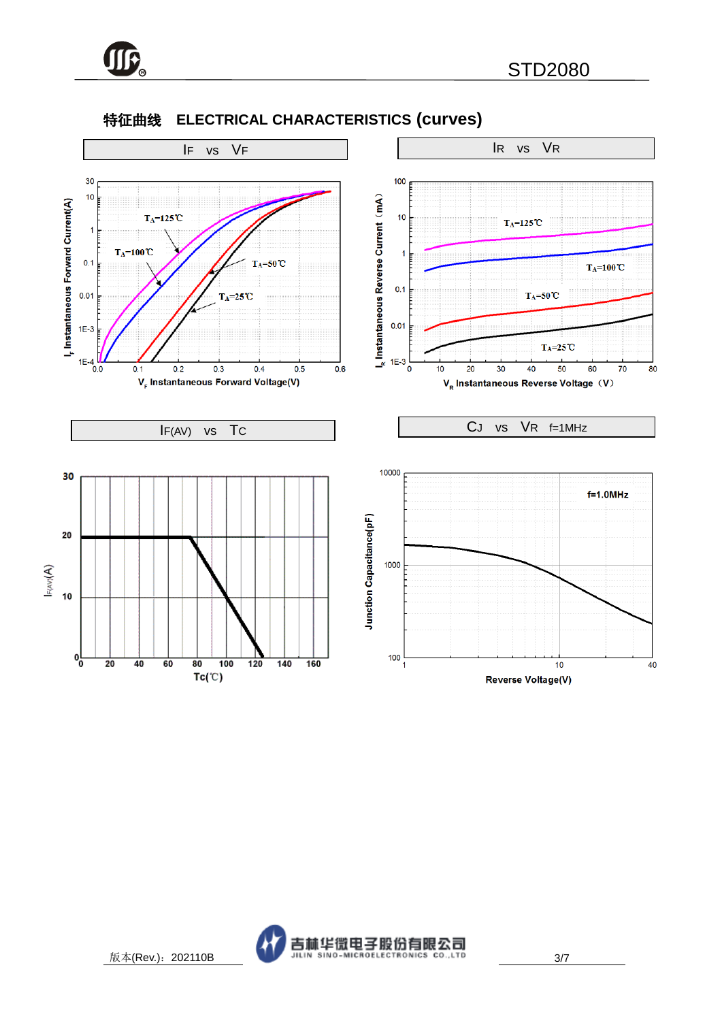

#### 特征曲线 **ELECTRICAL CHARACTERISTICS (curves)**

**TTC** 



 $Tc(\mathbb{C})$ 

Reverse Voltage(V)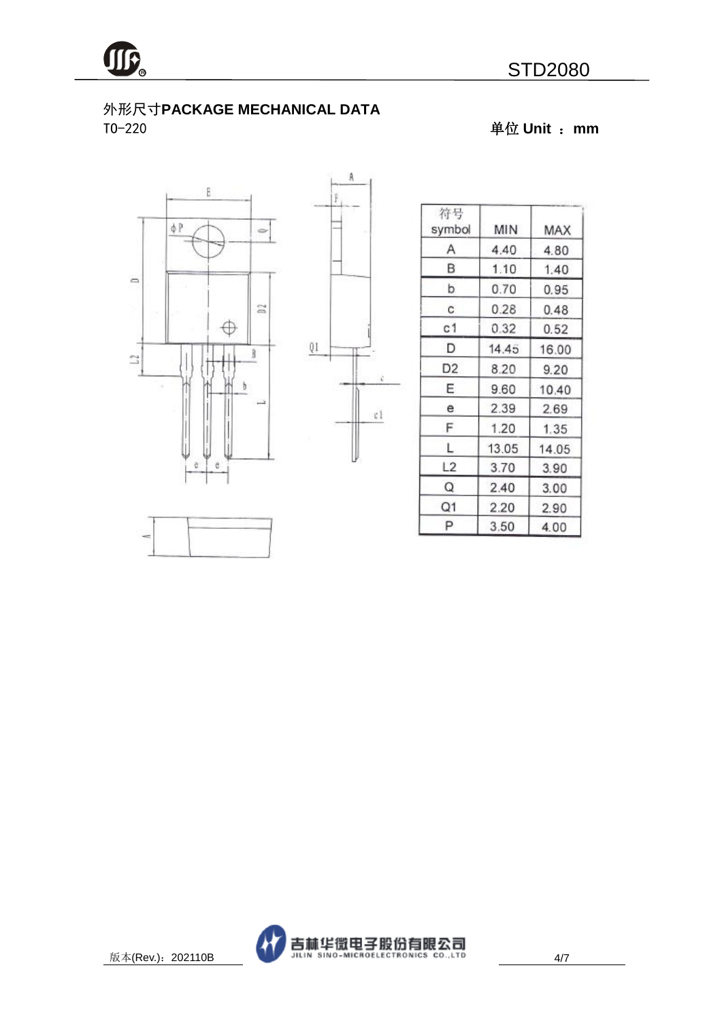

#### 外形尺寸**PACKAGE MECHANICAL DATA** TO-220 单位 **Unit** :**mm**





Â

| 符号<br>symbol   | MIN   | MAX   |
|----------------|-------|-------|
| Α              | 4.40  | 4.80  |
| В              | 1.10  | 1.40  |
| b              | 0.70  | 0.95  |
| C.             | 0.28  | 0.48  |
| с1             | 0.32  | 0.52  |
| D              | 14.45 | 16.00 |
| D <sub>2</sub> | 8.20  | 9.20  |
| Ε              | 9.60  | 10.40 |
| e              | 2.39  | 2.69  |
| F              | 1.20  | 1.35  |
| L              | 13.05 | 14.05 |
| L <sub>2</sub> | 3.70  | 3.90  |
| Q              | 2.40  | 3.00  |
| Q1             | 2.20  | 2.90  |
| Ρ              | 3.50  | 4.00  |



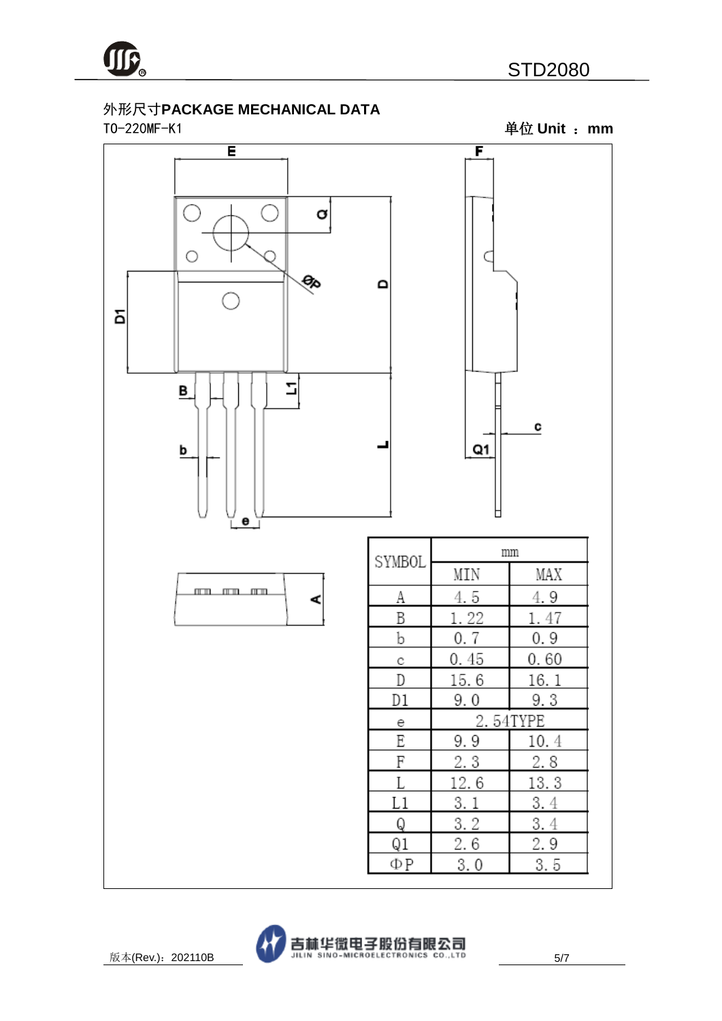

#### 外形尺寸**PACKAGE MECHANICAL DATA** TO-220MF-K1 单位 **Unit** :**mm**





 $\mathbf{I}$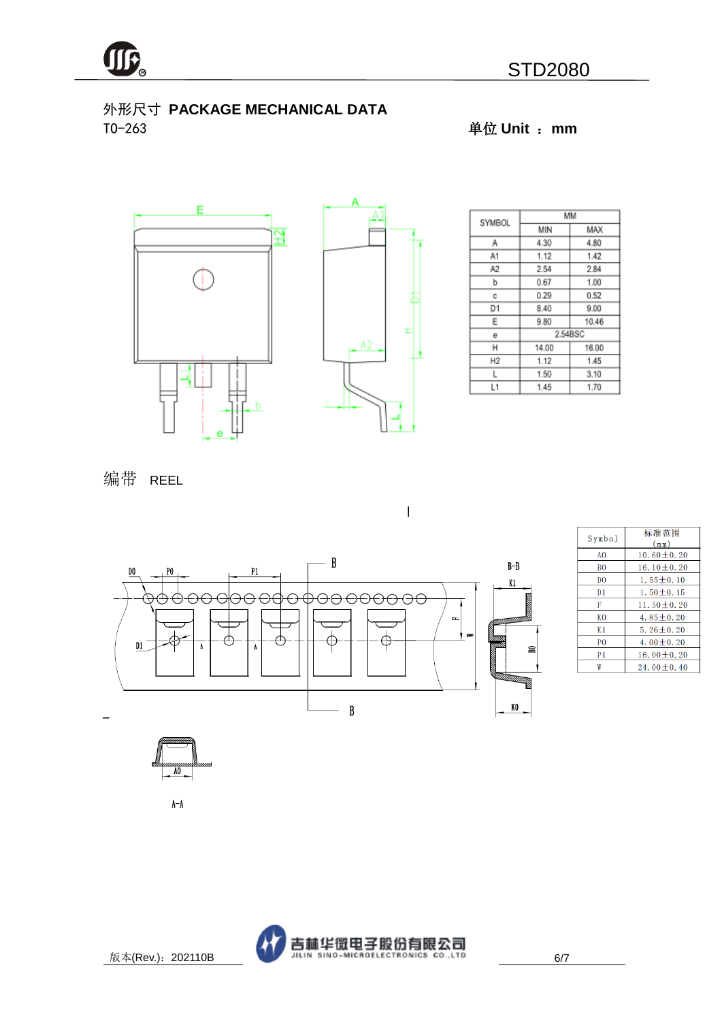

#### 外形尺寸 **PACKAGE MECHANICAL DATA** TO-263 单位 **Unit** :**mm**



| SYMBOL         | MМ      |       |  |  |
|----------------|---------|-------|--|--|
|                | MIN     | MAX   |  |  |
| Α              | 4.30    | 4.80  |  |  |
| A1             | 1.12    | 1.42  |  |  |
| A2             | 2.54    | 2.84  |  |  |
| b              | 0.67    | 1.00  |  |  |
| с              | 0.29    | 0.52  |  |  |
| D1             | 8.40    | 9.00  |  |  |
| Ε              | 9.80    | 10.46 |  |  |
| e              | 2.54BSC |       |  |  |
| н              | 14.00   | 16.00 |  |  |
| H <sub>2</sub> | 1.12    | 1.45  |  |  |
| L              | 1.50    | 3.10  |  |  |
| L1             | 1.45    | 1.70  |  |  |

编带 REEL



 $\overline{\phantom{a}}$ 

| Symbol         | 标准范围<br>(mm)     |
|----------------|------------------|
| A <sub>0</sub> | 10.60 $\pm$ 0.20 |
| B <sub>0</sub> | 16.10 $\pm$ 0.20 |
| D <sub>0</sub> | $1.55 \pm 0.10$  |
| D <sub>1</sub> | $1.50 \pm 0.15$  |
| F              | 11.50 $\pm$ 0.20 |
| K <sub>0</sub> | $4.85 + 0.20$    |
| K1             | $5.26 \pm 0.20$  |
| P <sub>0</sub> | 4.00 + 0.20      |
| P1             | 16.00 $\pm$ 0.20 |
| W              | $24.00 + 0.40$   |